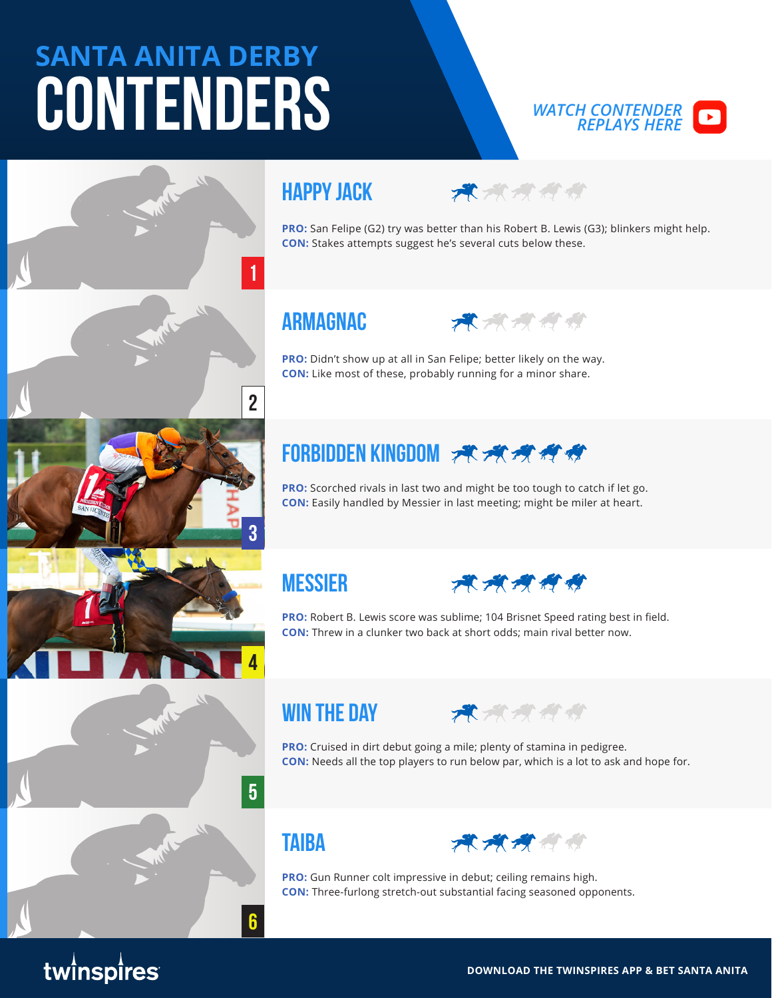# **SANTA ANITA DERBY CONTENDERS**



## **Happy Jack**



**PRO:** San Felipe (G2) try was better than his Robert B. Lewis (G3); blinkers might help. **CON:** Stakes attempts suggest he's several cuts below these.

### **Armagnac**

**1**

**2**

**3**

**4**

**5**

**6**



**PRO:** Didn't show up at all in San Felipe; better likely on the way. **CON:** Like most of these, probably running for a minor share.

## **FORBIDDEN KINGDOM 术术校校经**

**PRO:** Scorched rivals in last two and might be too tough to catch if let go. **CON:** Easily handled by Messier in last meeting; might be miler at heart.

#### **Messier**



**PRO:** Robert B. Lewis score was sublime; 104 Brisnet Speed rating best in field. **CON:** Threw in a clunker two back at short odds; main rival better now.

#### **Win The Day**



**PRO:** Cruised in dirt debut going a mile; plenty of stamina in pedigree. **CON:** Needs all the top players to run below par, which is a lot to ask and hope for.

#### **Taiba**



**PRO:** Gun Runner colt impressive in debut; ceiling remains high. **CON:** Three-furlong stretch-out substantial facing seasoned opponents.

# twinspires